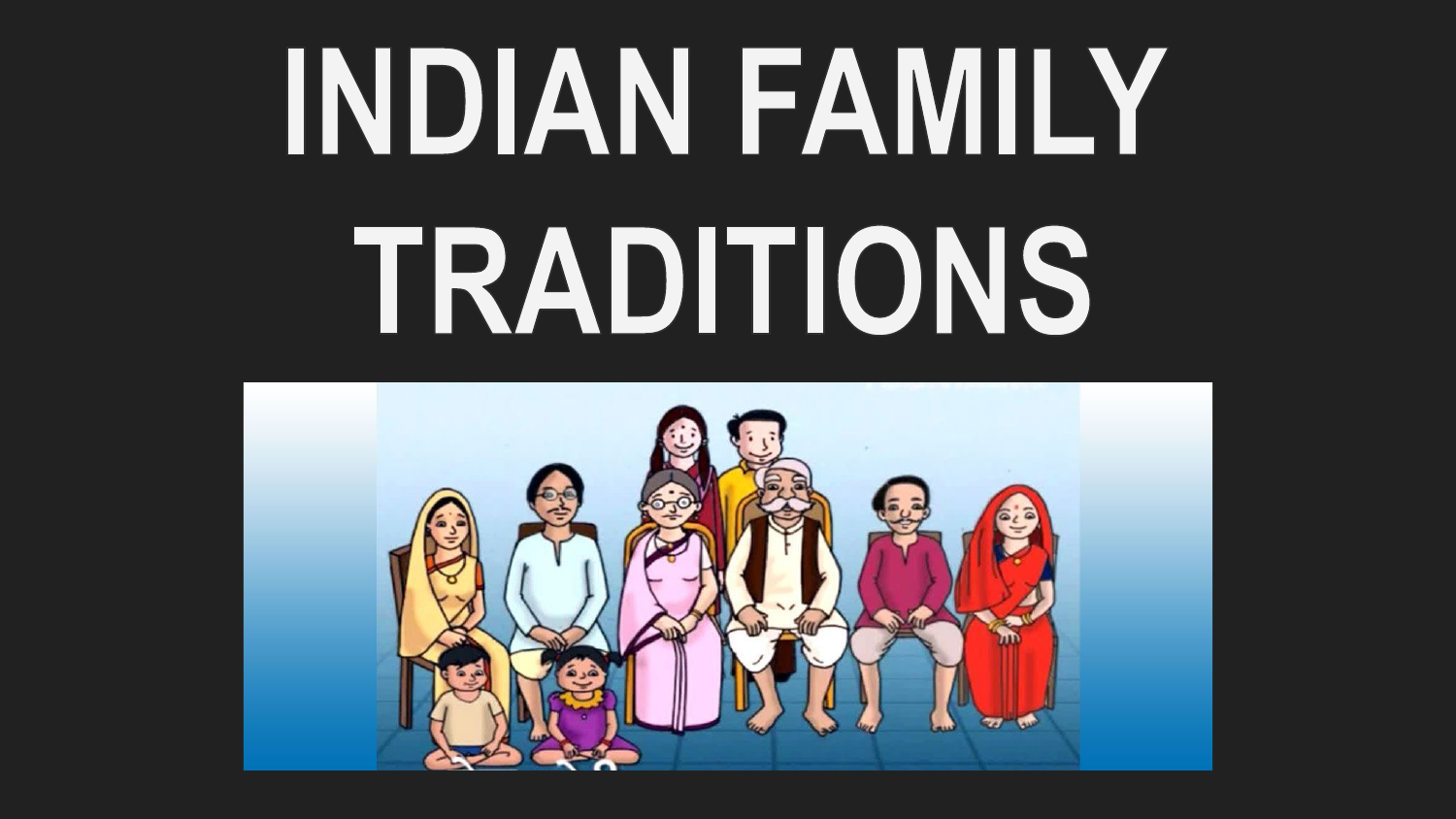# INDIAN FAMILY TRADITIONS

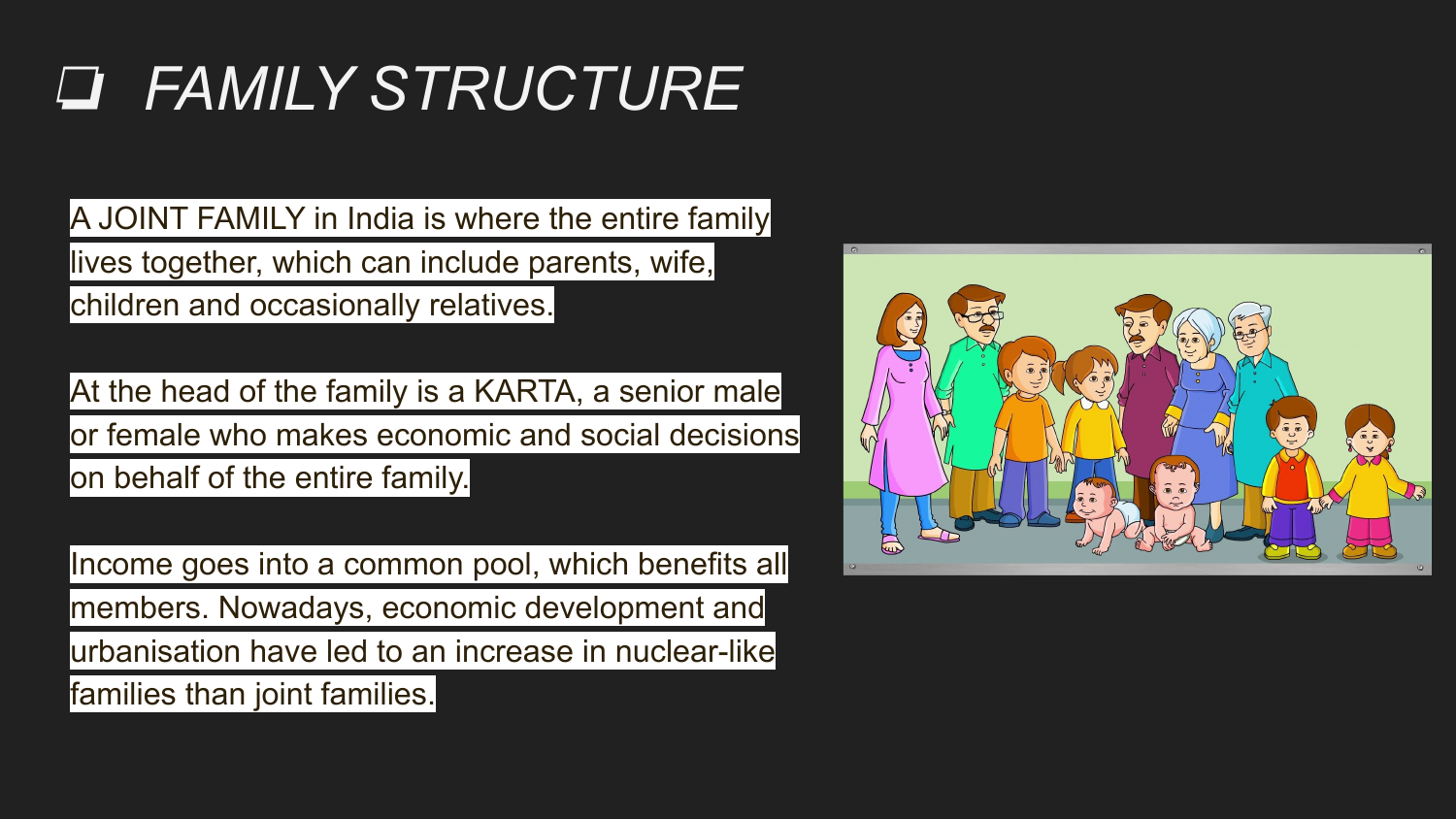## ❏ *FAMILY STRUCTURE*

A JOINT FAMILY in India is where the entire family lives together, which can include parents, wife, children and occasionally relatives.

At the head of the family is a KARTA, a senior male or female who makes economic and social decisions on behalf of the entire family.

Income goes into a common pool, which benefits all members. Nowadays, economic development and urbanisation have led to an increase in nuclear-like families than joint families.

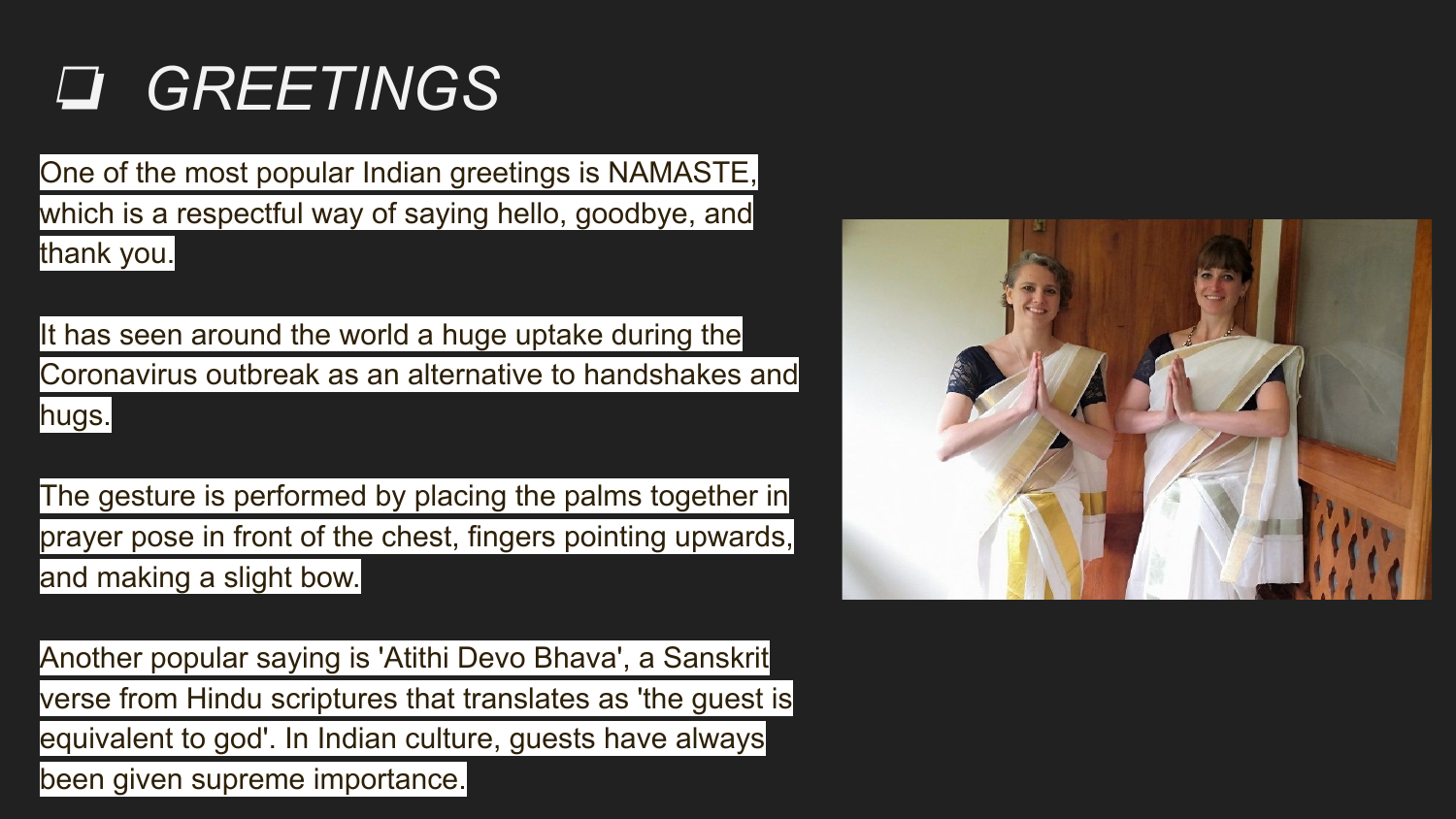## ❏ *GREETINGS*

One of the most popular Indian greetings is NAMASTE, which is a respectful way of saying hello, goodbye, and thank you.

It has seen around the world a huge uptake during the Coronavirus outbreak as an alternative to handshakes and hugs.

The gesture is performed by placing the palms together in prayer pose in front of the chest, fingers pointing upwards, and making a slight bow.

Another popular saying is 'Atithi Devo Bhava', a Sanskrit verse from Hindu scriptures that translates as 'the guest is equivalent to god'. In Indian culture, guests have always been given supreme importance.

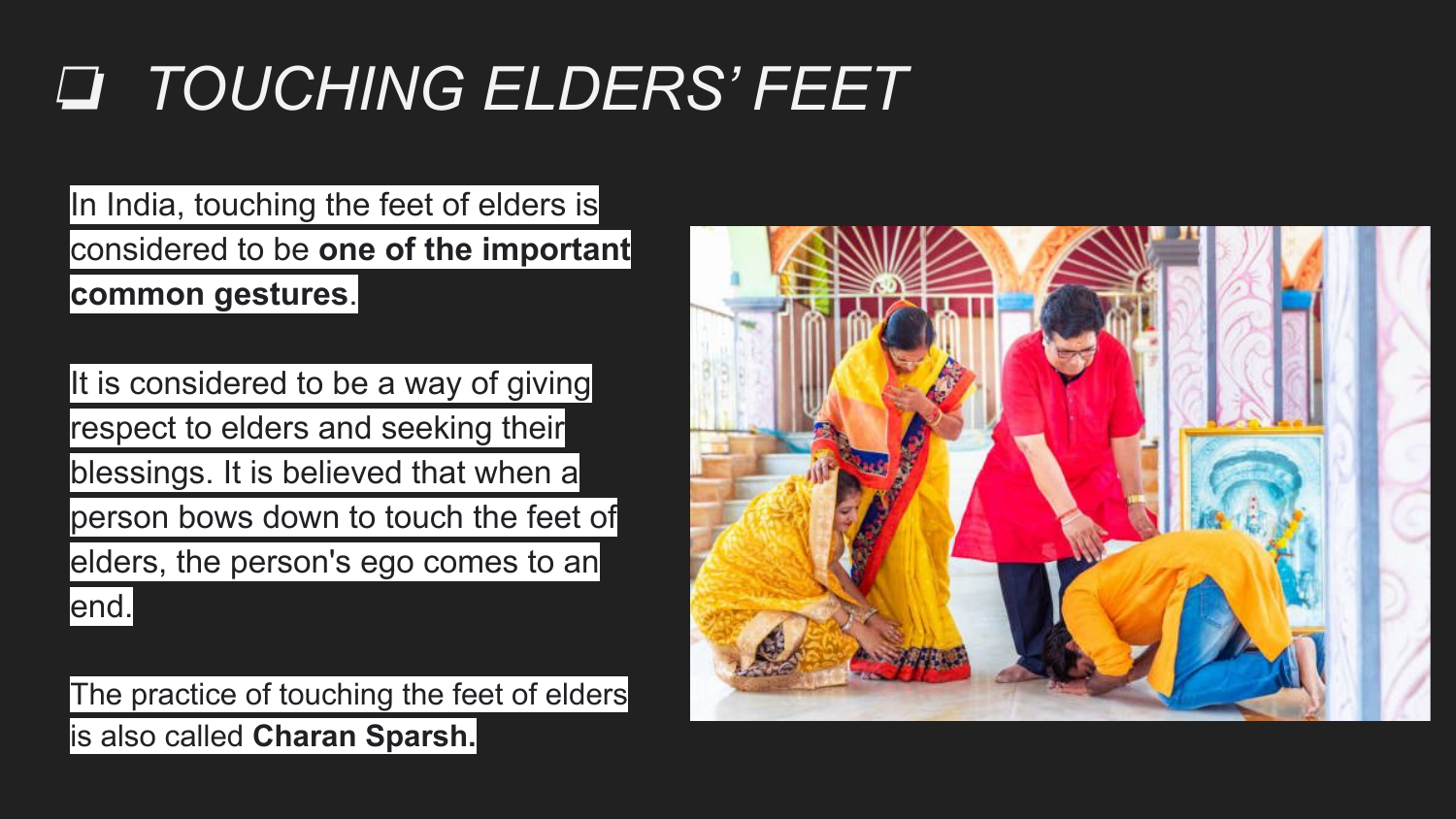### ❏ *TOUCHING ELDERS' FEET*

In India, touching the feet of elders is considered to be **one of the important common gestures**.

It is considered to be a way of giving respect to elders and seeking their blessings. It is believed that when a person bows down to touch the feet of elders, the person's ego comes to an

end.

The practice of touching the feet of elders is also called **Charan Sparsh.**